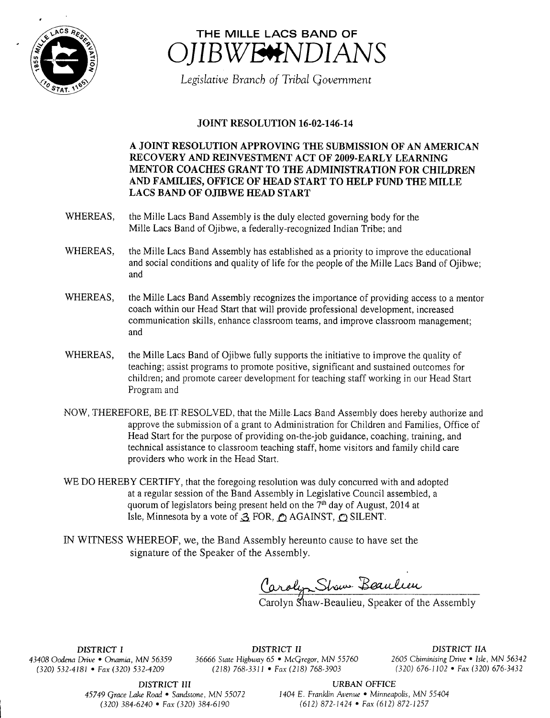



Legislative Branch of Tribal Government

## JOINT RESOLUTION 16-02-146-14

A JOINT RESOLUTION APPROVING THE SUBMISSION OF AN AMERICAN RECOVERY AND REINVESTMENT ACT OF 2009-EARLY LEARNING MENTOR COACHES GRANT TO THE ADMINISTRATION FOR CHILDREN AND FAMILIES, OFFICE OF HEAD START TO HELP FUND THE MILLE LACS BAND OF OJIBWE HEAD START

- WHEREAS, the Mille Lacs Band Assembly is the duly elected governing body for the Mille Lacs Band of Ojibwe, a federally-recognized Indian Tribe; and
- WHEREAS, the Mille Lacs Band Assembly has established as a priority to improve the educational and social conditions and quality of life for the people of the Mile Lacs Band of Ojibwe; and
- WHEREAS, the Mille Lacs Band Assembly recognizes the importance of providing access to a mentor coach within our Head Start that will provide professional development, increased communication skills, enhance classroom teams, and improve classroom management; and
- WHEREAS, the Mille Lacs Band of Ojibwe fully supports the initiative to improve the quality of teaching; assist programs to promote positive, significant and sustained outcomes for children; and promote career development for teaching staff working in our Head Start Program and
- NOW, THEREFORE, BE IT RESOLVED, that the Mille Lacs Band Assembly does hereby authorize and approve the submission of <sup>a</sup> grant to Administration for Children and Families, Office of Head Start for the purpose of providing on- the-job guidance, coaching, training, and technical assistance to classroom teaching staff, home visitors and family child care providers who work in the Head Start.
- WE DO HEREBY CERTIFY, that the foregoing resolution was duly concurred with and adopted at <sup>a</sup> regular session of the Band Assembly in Legislative Council assembled, a quorum of legislators being present held on the  $7<sup>th</sup>$  day of August, 2014 at Isle. Minnesota by a vote of  $\triangleleft$  FOR,  $\triangleleft$  AGAINST,  $\triangleleft$  SILENT.
- IN WITNESS WHEREOF, we, the Band Assembly hereunto cause to have set the signature of the Speaker of the Assembly.

Caroly Show B

Carolyn Shaw- Beaulieu, Speaker of the Assembly

DISTRICT I DISTRICT II DISTRICT IIA 43408 Oodena Drive • Onamia, MN 56359 36666 State Highway 65 • McGregor, MN 55760 2605 Chiminising Drive • Isle, MN 56342 320) 532-4181 • Fax( 320) 532- 4209 218) 768- 3311 • Fax( 218) 768- 3903 320) 676- 1102 • Fax( 320) 676- 3432

DISTRICT III URBAN OFFICE

45749 Grace Lake Road • Sandstone, MN 55072 1404 E. Franklin Avenue • Minneapolis, MN 55404 <sup>1</sup> 320) 384- 6240 • Fax( 320) 384- 6190 612) 872- 1424 • Fax( 612) 872- 1257